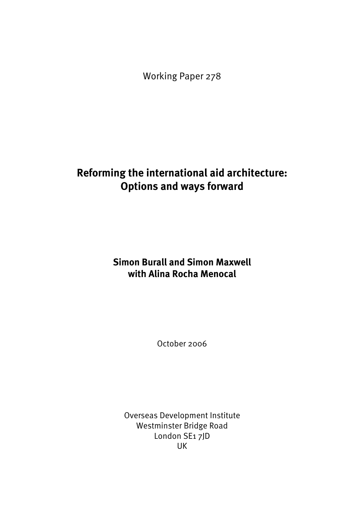Working Paper 278

# **Reforming the international aid architecture: Options and ways forward**

# **Simon Burall and Simon Maxwell with Alina Rocha Menocal**

October 2006

Overseas Development Institute Westminster Bridge Road London SE1 7JD UK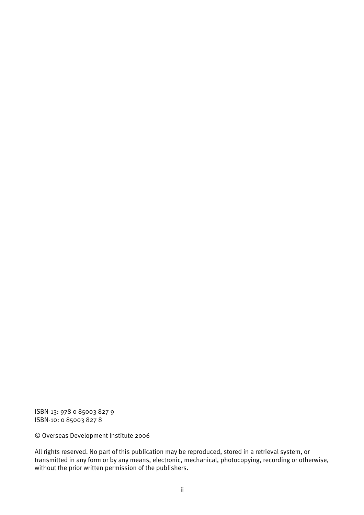ISBN-13: 978 0 85003 827 9 ISBN-10: 0 85003 827 8

© Overseas Development Institute 2006

All rights reserved. No part of this publication may be reproduced, stored in a retrieval system, or transmitted in any form or by any means, electronic, mechanical, photocopying, recording or otherwise, without the prior written permission of the publishers.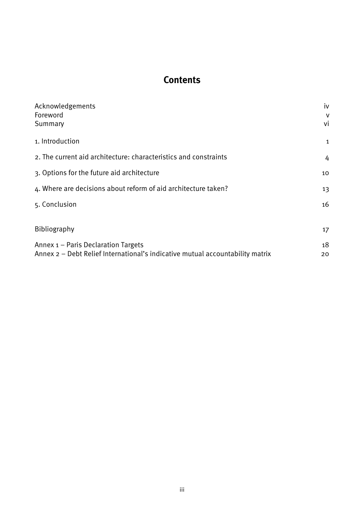# **Contents**

| Acknowledgements                                                              | iv                |
|-------------------------------------------------------------------------------|-------------------|
| Foreword                                                                      | V                 |
| Summary                                                                       | vi                |
| 1. Introduction                                                               | $\mathbf{1}$      |
| 2. The current aid architecture: characteristics and constraints              | 4                 |
| 3. Options for the future aid architecture                                    | 10                |
| 4. Where are decisions about reform of aid architecture taken?                | 13                |
| 5. Conclusion                                                                 | 16                |
|                                                                               |                   |
| Bibliography                                                                  | $17 \overline{ }$ |
| Annex 1 - Paris Declaration Targets                                           | 18                |
| Annex 2 – Debt Relief International's indicative mutual accountability matrix | 20                |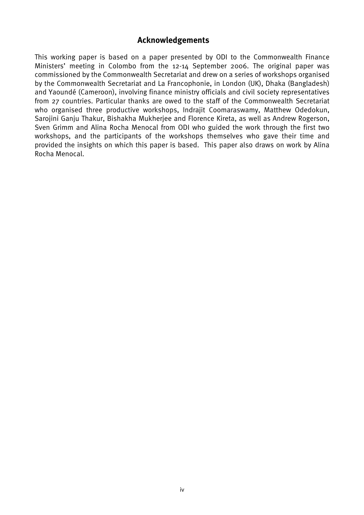## **Acknowledgements**

This working paper is based on a paper presented by ODI to the Commonwealth Finance Ministers' meeting in Colombo from the 12-14 September 2006. The original paper was commissioned by the Commonwealth Secretariat and drew on a series of workshops organised by the Commonwealth Secretariat and La Francophonie, in London (UK), Dhaka (Bangladesh) and Yaoundé (Cameroon), involving finance ministry officials and civil society representatives from 27 countries. Particular thanks are owed to the staff of the Commonwealth Secretariat who organised three productive workshops, Indrajit Coomaraswamy, Matthew Odedokun, Sarojini Ganju Thakur, Bishakha Mukherjee and Florence Kireta, as well as Andrew Rogerson, Sven Grimm and Alina Rocha Menocal from ODI who guided the work through the first two workshops, and the participants of the workshops themselves who gave their time and provided the insights on which this paper is based. This paper also draws on work by Alina Rocha Menocal.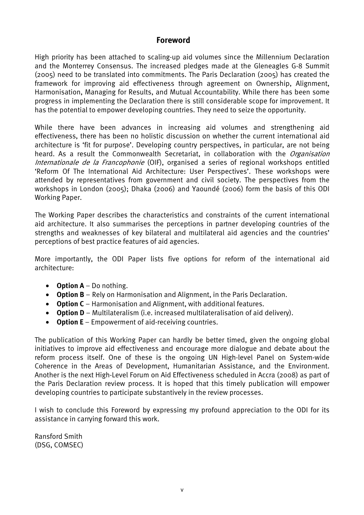## **Foreword**

High priority has been attached to scaling-up aid volumes since the Millennium Declaration and the Monterrey Consensus. The increased pledges made at the Gleneagles G-8 Summit (2005) need to be translated into commitments. The Paris Declaration (2005) has created the framework for improving aid effectiveness through agreement on Ownership, Alignment, Harmonisation, Managing for Results, and Mutual Accountability. While there has been some progress in implementing the Declaration there is still considerable scope for improvement. It has the potential to empower developing countries. They need to seize the opportunity.

While there have been advances in increasing aid volumes and strengthening aid effectiveness, there has been no holistic discussion on whether the current international aid architecture is 'fit for purpose'. Developing country perspectives, in particular, are not being heard. As a result the Commonwealth Secretariat, in collaboration with the Organisation Internationale de la Francophonie (OIF), organised a series of regional workshops entitled 'Reform Of The International Aid Architecture: User Perspectives'. These workshops were attended by representatives from government and civil society. The perspectives from the workshops in London (2005); Dhaka (2006) and Yaoundé (2006) form the basis of this ODI Working Paper.

The Working Paper describes the characteristics and constraints of the current international aid architecture. It also summarises the perceptions in partner developing countries of the strengths and weaknesses of key bilateral and multilateral aid agencies and the countries' perceptions of best practice features of aid agencies.

More importantly, the ODI Paper lists five options for reform of the international aid architecture:

- **Option A** Do nothing.
- **Option B** Rely on Harmonisation and Alignment, in the Paris Declaration.
- **Option C**  Harmonisation and Alignment, with additional features.
- **Option D** Multilateralism (i.e. increased multilateralisation of aid delivery).
- **Option E** Empowerment of aid-receiving countries.

The publication of this Working Paper can hardly be better timed, given the ongoing global initiatives to improve aid effectiveness and encourage more dialogue and debate about the reform process itself. One of these is the ongoing UN High-level Panel on System-wide Coherence in the Areas of Development, Humanitarian Assistance, and the Environment. Another is the next High-Level Forum on Aid Effectiveness scheduled in Accra (2008) as part of the Paris Declaration review process. It is hoped that this timely publication will empower developing countries to participate substantively in the review processes.

I wish to conclude this Foreword by expressing my profound appreciation to the ODI for its assistance in carrying forward this work.

Ransford Smith (DSG, COMSEC)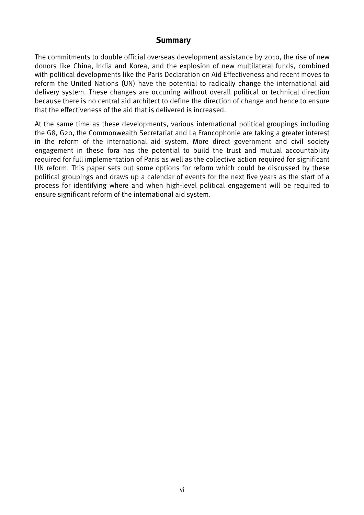## **Summary**

The commitments to double official overseas development assistance by 2010, the rise of new donors like China, India and Korea, and the explosion of new multilateral funds, combined with political developments like the Paris Declaration on Aid Effectiveness and recent moves to reform the United Nations (UN) have the potential to radically change the international aid delivery system. These changes are occurring without overall political or technical direction because there is no central aid architect to define the direction of change and hence to ensure that the effectiveness of the aid that is delivered is increased.

At the same time as these developments, various international political groupings including the G8, G20, the Commonwealth Secretariat and La Francophonie are taking a greater interest in the reform of the international aid system. More direct government and civil society engagement in these fora has the potential to build the trust and mutual accountability required for full implementation of Paris as well as the collective action required for significant UN reform. This paper sets out some options for reform which could be discussed by these political groupings and draws up a calendar of events for the next five years as the start of a process for identifying where and when high-level political engagement will be required to ensure significant reform of the international aid system.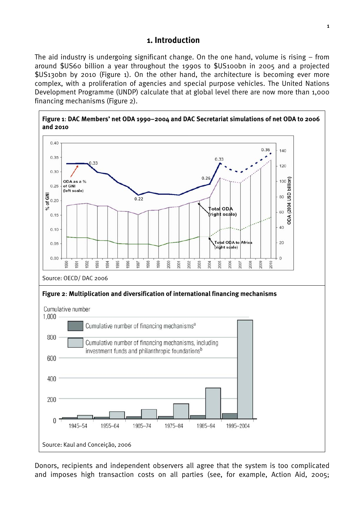## **1. Introduction**

The aid industry is undergoing significant change. On the one hand, volume is rising – from around \$US60 billion a year throughout the 1990s to \$US100bn in 2005 and a projected \$US130bn by 2010 (Figure 1). On the other hand, the architecture is becoming ever more complex, with a proliferation of agencies and special purpose vehicles. The United Nations Development Programme (UNDP) calculate that at global level there are now more than 1,000 financing mechanisms (Figure 2).



Donors, recipients and independent observers all agree that the system is too complicated and imposes high transaction costs on all parties (see, for example, Action Aid, 2005;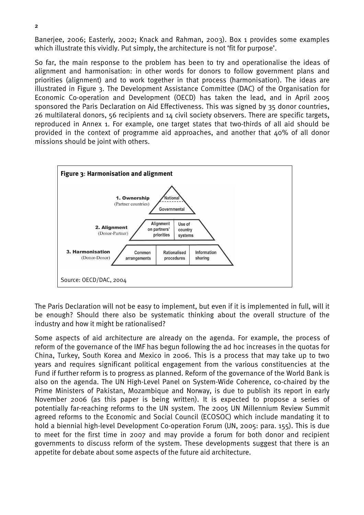Banerjee, 2006; Easterly, 2002; Knack and Rahman, 2003). Box 1 provides some examples which illustrate this vividly. Put simply, the architecture is not 'fit for purpose'.

So far, the main response to the problem has been to try and operationalise the ideas of alignment and harmonisation: in other words for donors to follow government plans and priorities (alignment) and to work together in that process (harmonisation). The ideas are illustrated in Figure 3. The Development Assistance Committee (DAC) of the Organisation for Economic Co-operation and Development (OECD) has taken the lead, and in April 2005 sponsored the Paris Declaration on Aid Effectiveness. This was signed by 35 donor countries, 26 multilateral donors, 56 recipients and 14 civil society observers. There are specific targets, reproduced in Annex 1. For example, one target states that two-thirds of all aid should be provided in the context of programme aid approaches, and another that 40% of all donor missions should be joint with others.



The Paris Declaration will not be easy to implement, but even if it is implemented in full, will it be enough? Should there also be systematic thinking about the overall structure of the industry and how it might be rationalised?

Some aspects of aid architecture are already on the agenda. For example, the process of reform of the governance of the IMF has begun following the ad hoc increases in the quotas for China, Turkey, South Korea and Mexico in 2006. This is a process that may take up to two years and requires significant political engagement from the various constituencies at the Fund if further reform is to progress as planned. Reform of the governance of the World Bank is also on the agenda. The UN High-Level Panel on System-Wide Coherence, co-chaired by the Prime Ministers of Pakistan, Mozambique and Norway, is due to publish its report in early November 2006 (as this paper is being written). It is expected to propose a series of potentially far-reaching reforms to the UN system. The 2005 UN Millennium Review Summit agreed reforms to the Economic and Social Council (ECOSOC) which include mandating it to hold a biennial high-level Development Co-operation Forum (UN, 2005: para. 155). This is due to meet for the first time in 2007 and may provide a forum for both donor and recipient governments to discuss reform of the system. These developments suggest that there is an appetite for debate about some aspects of the future aid architecture.

2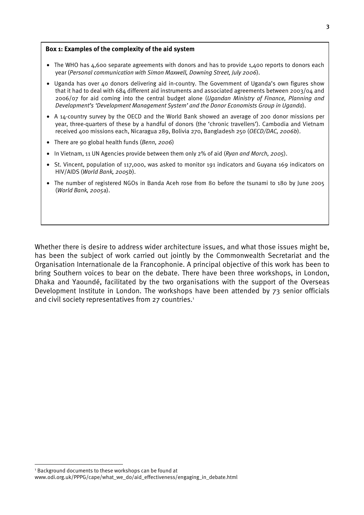#### **Box 1: Examples of the complexity of the aid system**

- The WHO has 4,600 separate agreements with donors and has to provide 1,400 reports to donors each year (*Personal communication with Simon Maxwell, Downing Street, July 2006*).
- Uganda has over 40 donors delivering aid in-country. The Government of Uganda's own figures show that it had to deal with 684 different aid instruments and associated agreements between 2003/04 and 2006/07 for aid coming into the central budget alone (*Ugandan Ministry of Finance, Planning and Development's 'Development Management System' and the Donor Economists Group in Uganda*).
- A 14-country survey by the OECD and the World Bank showed an average of 200 donor missions per year, three-quarters of these by a handful of donors (the 'chronic travellers'). Cambodia and Vietnam received 400 missions each, Nicaragua 289, Bolivia 270, Bangladesh 250 (*OECD/DAC, 2006b*).
- There are 90 global health funds (*Benn, 2006*)
- In Vietnam, 11 UN Agencies provide between them only 2% of aid (*Ryan and Morch, 2005*).
- St. Vincent, population of 117,000, was asked to monitor 191 indicators and Guyana 169 indicators on HIV/AIDS (*World Bank, 2005b*).
- The number of registered NGOs in Banda Aceh rose from 80 before the tsunami to 180 by June 2005 (*World Bank, 2005*a).

Whether there is desire to address wider architecture issues, and what those issues might be, has been the subject of work carried out jointly by the Commonwealth Secretariat and the Organisation Internationale de la Francophonie. A principal objective of this work has been to bring Southern voices to bear on the debate. There have been three workshops, in London, Dhaka and Yaoundé, facilitated by the two organisations with the support of the Overseas Development Institute in London. The workshops have been attended by 73 senior officials and civil society representatives from 27 countries.<sup>1</sup>

 $\overline{a}$ 

<sup>&</sup>lt;sup>1</sup> Background documents to these workshops can be found at www.odi.org.uk/PPPG/cape/what\_we\_do/aid\_effectiveness/engaging\_in\_debate.html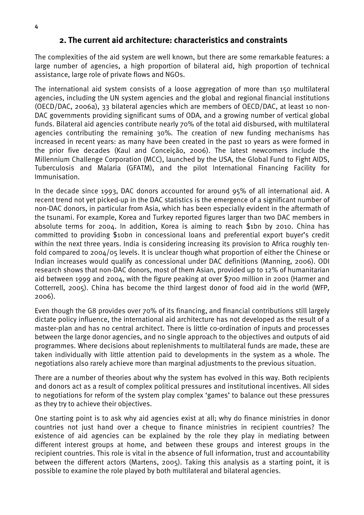## **2. The current aid architecture: characteristics and constraints**

The complexities of the aid system are well known, but there are some remarkable features: a large number of agencies, a high proportion of bilateral aid, high proportion of technical assistance, large role of private flows and NGOs.

The international aid system consists of a loose aggregation of more than 150 multilateral agencies, including the UN system agencies and the global and regional financial institutions (OECD/DAC, 2006a), 33 bilateral agencies which are members of OECD/DAC, at least 10 non-DAC governments providing significant sums of ODA, and a growing number of vertical global funds. Bilateral aid agencies contribute nearly 70% of the total aid disbursed, with multilateral agencies contributing the remaining 30%. The creation of new funding mechanisms has increased in recent years: as many have been created in the past 10 years as were formed in the prior five decades (Kaul and Conceição, 2006). The latest newcomers include the Millennium Challenge Corporation (MCC), launched by the USA, the Global Fund to Fight AIDS, Tuberculosis and Malaria (GFATM), and the pilot International Financing Facility for Immunisation.

In the decade since 1993, DAC donors accounted for around 95% of all international aid. A recent trend not yet picked-up in the DAC statistics is the emergence of a significant number of non-DAC donors, in particular from Asia, which has been especially evident in the aftermath of the tsunami. For example, Korea and Turkey reported figures larger than two DAC members in absolute terms for 2004. In addition, Korea is aiming to reach \$1bn by 2010. China has committed to providing \$10bn in concessional loans and preferential export buyer's credit within the next three years. India is considering increasing its provision to Africa roughly tenfold compared to 2004/05 levels. It is unclear though what proportion of either the Chinese or Indian increases would qualify as concessional under DAC definitions (Manning, 2006). ODI research shows that non-DAC donors, most of them Asian, provided up to 12% of humanitarian aid between 1999 and 2004, with the figure peaking at over \$700 million in 2001 (Harmer and Cotterrell, 2005). China has become the third largest donor of food aid in the world (WFP, 2006).

Even though the G8 provides over 70% of its financing, and financial contributions still largely dictate policy influence, the international aid architecture has not developed as the result of a master-plan and has no central architect. There is little co-ordination of inputs and processes between the large donor agencies, and no single approach to the objectives and outputs of aid programmes. Where decisions about replenishments to multilateral funds are made, these are taken individually with little attention paid to developments in the system as a whole. The negotiations also rarely achieve more than marginal adjustments to the previous situation.

There are a number of theories about why the system has evolved in this way. Both recipients and donors act as a result of complex political pressures and institutional incentives. All sides to negotiations for reform of the system play complex 'games' to balance out these pressures as they try to achieve their objectives.

One starting point is to ask why aid agencies exist at all; why do finance ministries in donor countries not just hand over a cheque to finance ministries in recipient countries? The existence of aid agencies can be explained by the role they play in mediating between different interest groups at home, and between these groups and interest groups in the recipient countries. This role is vital in the absence of full information, trust and accountability between the different actors (Martens, 2005). Taking this analysis as a starting point, it is possible to examine the role played by both multilateral and bilateral agencies.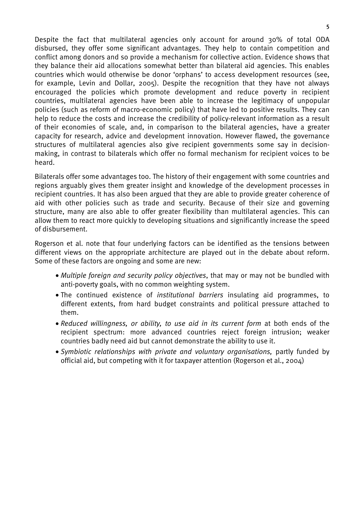Despite the fact that multilateral agencies only account for around 30% of total ODA disbursed, they offer some significant advantages. They help to contain competition and conflict among donors and so provide a mechanism for collective action. Evidence shows that they balance their aid allocations somewhat better than bilateral aid agencies. This enables countries which would otherwise be donor 'orphans' to access development resources (see, for example, Levin and Dollar, 2005). Despite the recognition that they have not always encouraged the policies which promote development and reduce poverty in recipient countries, multilateral agencies have been able to increase the legitimacy of unpopular policies (such as reform of macro-economic policy) that have led to positive results. They can help to reduce the costs and increase the credibility of policy-relevant information as a result of their economies of scale, and, in comparison to the bilateral agencies, have a greater capacity for research, advice and development innovation. However flawed, the governance structures of multilateral agencies also give recipient governments some say in decisionmaking, in contrast to bilaterals which offer no formal mechanism for recipient voices to be heard.

Bilaterals offer some advantages too. The history of their engagement with some countries and regions arguably gives them greater insight and knowledge of the development processes in recipient countries. It has also been argued that they are able to provide greater coherence of aid with other policies such as trade and security. Because of their size and governing structure, many are also able to offer greater flexibility than multilateral agencies. This can allow them to react more quickly to developing situations and significantly increase the speed of disbursement.

Rogerson et al. note that four underlying factors can be identified as the tensions between different views on the appropriate architecture are played out in the debate about reform. Some of these factors are ongoing and some are new:

- *Multiple foreign and security policy objectives*, that may or may not be bundled with anti-poverty goals, with no common weighting system.
- The continued existence of *institutional barriers* insulating aid programmes, to different extents, from hard budget constraints and political pressure attached to them.
- *Reduced willingness, or ability, to use aid in its current form* at both ends of the recipient spectrum: more advanced countries reject foreign intrusion; weaker countries badly need aid but cannot demonstrate the ability to use it.
- *Symbiotic relationships with private and voluntary organisations,* partly funded by official aid, but competing with it for taxpayer attention (Rogerson et al., 2004)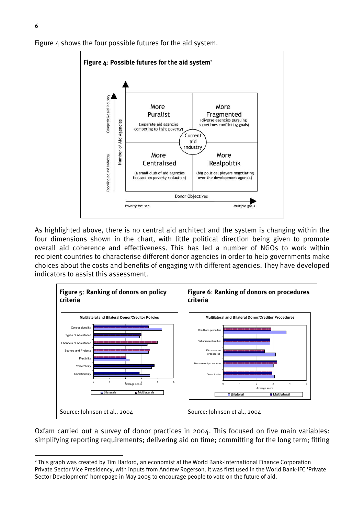

Figure 4 shows the four possible futures for the aid system.

As highlighted above, there is no central aid architect and the system is changing within the four dimensions shown in the chart, with little political direction being given to promote overall aid coherence and effectiveness. This has led a number of NGOs to work within recipient countries to characterise different donor agencies in order to help governments make choices about the costs and benefits of engaging with different agencies. They have developed indicators to assist this assessment.



Oxfam carried out a survey of donor practices in 2004. This focused on five main variables: simplifying reporting requirements; delivering aid on time; committing for the long term; fitting

 $\overline{a}$ 

<sup>&</sup>lt;sup>2</sup> This graph was created by Tim Harford, an economist at the World Bank-International Finance Corporation Private Sector Vice Presidency, with inputs from Andrew Rogerson. It was first used in the World Bank-IFC 'Private Sector Development' homepage in May 2005 to encourage people to vote on the future of aid.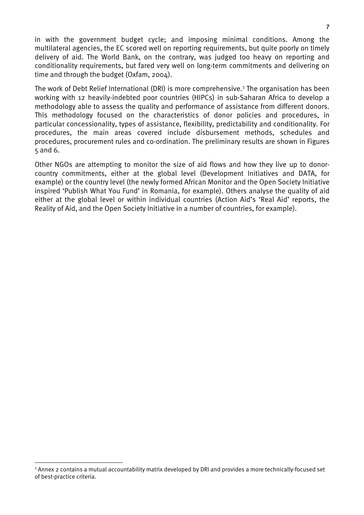in with the government budget cycle; and imposing minimal conditions. Among the multilateral agencies, the EC scored well on reporting requirements, but quite poorly on timely delivery of aid. The World Bank, on the contrary, was judged too heavy on reporting and conditionality requirements, but fared very well on long-term commitments and delivering on time and through the budget (Oxfam, 2004).

The work of Debt Relief International (DRI) is more comprehensive.<sup>3</sup> The organisation has been working with 12 heavily-indebted poor countries (HIPCs) in sub-Saharan Africa to develop a methodology able to assess the quality and performance of assistance from different donors. This methodology focused on the characteristics of donor policies and procedures, in particular concessionality, types of assistance, flexibility, predictability and conditionality. For procedures, the main areas covered include disbursement methods, schedules and procedures, procurement rules and co-ordination. The preliminary results are shown in Figures 5 and 6.

Other NGOs are attempting to monitor the size of aid flows and how they live up to donorcountry commitments, either at the global level (Development Initiatives and DATA, for example) or the country level (the newly formed African Monitor and the Open Society Initiative inspired 'Publish What You Fund' in Romania, for example). Others analyse the quality of aid either at the global level or within individual countries (Action Aid's 'Real Aid' reports, the Reality of Aid, and the Open Society Initiative in a number of countries, for example).

 $\overline{a}$ 

<sup>&</sup>lt;sup>3</sup> Annex 2 contains a mutual accountability matrix developed by DRI and provides a more technically-focused set of best-practice criteria.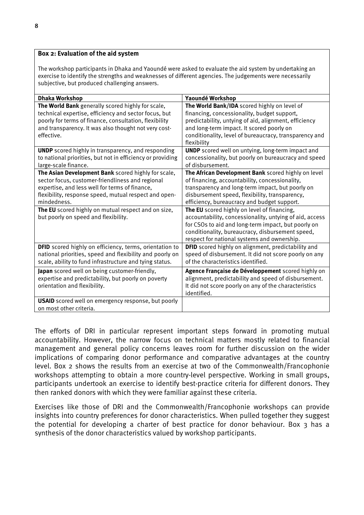### **Box 2: Evaluation of the aid system**

The workshop participants in Dhaka and Yaoundé were asked to evaluate the aid system by undertaking an exercise to identify the strengths and weaknesses of different agencies. The judgements were necessarily subjective, but produced challenging answers.

| <b>Dhaka Workshop</b>                                      | Yaoundé Workshop                                         |
|------------------------------------------------------------|----------------------------------------------------------|
| The World Bank generally scored highly for scale,          | The World Bank/IDA scored highly on level of             |
| technical expertise, efficiency and sector focus, but      | financing, concessionality, budget support,              |
| poorly for terms of finance, consultation, flexibility     | predictability, untying of aid, alignment, efficiency    |
| and transparency. It was also thought not very cost-       | and long-term impact. It scored poorly on                |
| effective.                                                 | conditionality, level of bureaucracy, transparency and   |
|                                                            | flexibility                                              |
| <b>UNDP</b> scored highly in transparency, and responding  | <b>UNDP</b> scored well on untying, long-term impact and |
| to national priorities, but not in efficiency or providing | concessionality, but poorly on bureaucracy and speed     |
| large-scale finance.                                       | of disbursement.                                         |
| The Asian Development Bank scored highly for scale,        | The African Development Bank scored highly on level      |
| sector focus, customer-friendliness and regional           | of financing, accountability, concessionality,           |
| expertise, and less well for terms of finance,             | transparency and long-term impact, but poorly on         |
| flexibility, response speed, mutual respect and open-      | disbursement speed, flexibility, transparency,           |
| mindedness.                                                | efficiency, bureaucracy and budget support.              |
| The EU scored highly on mutual respect and on size,        | The EU scored highly on level of financing,              |
| but poorly on speed and flexibility.                       | accountability, concessionality, untying of aid, access  |
|                                                            | for CSOs to aid and long-term impact, but poorly on      |
|                                                            | conditionality, bureaucracy, disbursement speed,         |
|                                                            | respect for national systems and ownership.              |
| DFID scored highly on efficiency, terms, orientation to    | DFID scored highly on alignment, predictability and      |
| national priorities, speed and flexibility and poorly on   | speed of disbursement. It did not score poorly on any    |
| scale, ability to fund infrastructure and tying status.    | of the characteristics identified.                       |
|                                                            |                                                          |
| Japan scored well on being customer-friendly,              | Agence Française de Développement scored highly on       |
| expertise and predictability, but poorly on poverty        | alignment, predictability and speed of disbursement.     |
| orientation and flexibility.                               | It did not score poorly on any of the characteristics    |
|                                                            | identified.                                              |
| <b>USAID</b> scored well on emergency response, but poorly |                                                          |
| on most other criteria.                                    |                                                          |

The efforts of DRI in particular represent important steps forward in promoting mutual accountability. However, the narrow focus on technical matters mostly related to financial management and general policy concerns leaves room for further discussion on the wider implications of comparing donor performance and comparative advantages at the country level. Box 2 shows the results from an exercise at two of the Commonwealth/Francophonie workshops attempting to obtain a more country-level perspective. Working in small groups, participants undertook an exercise to identify best-practice criteria for different donors. They then ranked donors with which they were familiar against these criteria.

Exercises like those of DRI and the Commonwealth/Francophonie workshops can provide insights into country preferences for donor characteristics. When pulled together they suggest the potential for developing a charter of best practice for donor behaviour. Box 3 has a synthesis of the donor characteristics valued by workshop participants.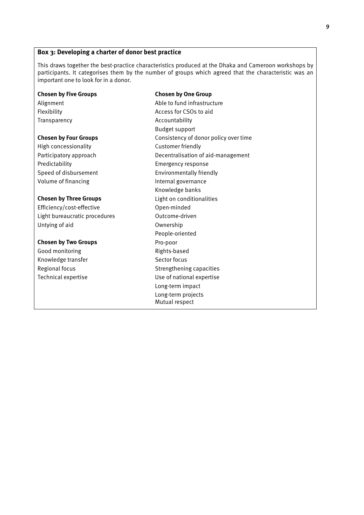## **Box 3: Developing a charter of donor best practice**

This draws together the best-practice characteristics produced at the Dhaka and Cameroon workshops by participants. It categorises them by the number of groups which agreed that the characteristic was an important one to look for in a donor.

#### **Chosen by Five Groups Chosen by One Group**

High concessionality **Customer friendly** Predictability **Emergency response** Volume of financing Internal governance

Efficiency/cost-effective Open-minded Light bureaucratic procedures **Canadia** Dutcome-driven Untying of aid **Ownership** 

#### **Chosen by Two Groups Pro-poor**

Good monitoring and a set of the Rights-based Knowledge transfer Sector focus

Alignment Able to fund infrastructure Flexibility Access for CSOs to aid Transparency **Accountability** Budget support **Chosen by Four Groups Consistency of donor policy over time** Participatory approach Decentralisation of aid-management Speed of disbursement Environmentally friendly Knowledge banks **Chosen by Three Groups Light on conditionalities** People-oriented Regional focus **Strengthening capacities** Technical expertise Use of national expertise Long-term impact Long-term projects Mutual respect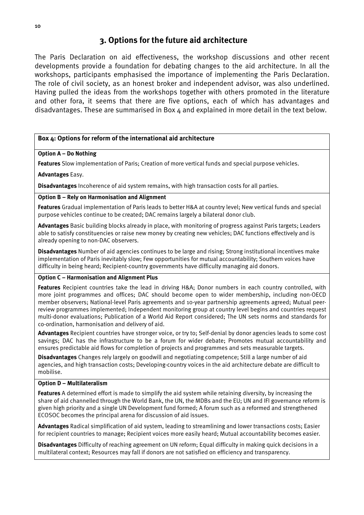## **3. Options for the future aid architecture**

The Paris Declaration on aid effectiveness, the workshop discussions and other recent developments provide a foundation for debating changes to the aid architecture. In all the workshops, participants emphasised the importance of implementing the Paris Declaration. The role of civil society, as an honest broker and independent advisor, was also underlined. Having pulled the ideas from the workshops together with others promoted in the literature and other fora, it seems that there are five options, each of which has advantages and disadvantages. These are summarised in Box 4 and explained in more detail in the text below.

## **Box 4: Options for reform of the international aid architecture**

## **Option A – Do Nothing**

**Features** Slow implementation of Paris; Creation of more vertical funds and special purpose vehicles.

### **Advantages** Easy.

**Disadvantages** Incoherence of aid system remains, with high transaction costs for all parties.

### **Option B – Rely on Harmonisation and Alignment**

**Features** Gradual implementation of Paris leads to better H&A at country level; New vertical funds and special purpose vehicles continue to be created; DAC remains largely a bilateral donor club.

**Advantages** Basic building blocks already in place, with monitoring of progress against Paris targets; Leaders able to satisfy constituencies or raise new money by creating new vehicles; DAC functions effectively and is already opening to non-DAC observers.

**Disadvantages** Number of aid agencies continues to be large and rising; Strong institutional incentives make implementation of Paris inevitably slow; Few opportunities for mutual accountability; Southern voices have difficulty in being heard; Recipient-country governments have difficulty managing aid donors.

#### **Option C – Harmonisation and Alignment Plus**

**Features** Recipient countries take the lead in driving H&A; Donor numbers in each country controlled, with more joint programmes and offices; DAC should become open to wider membership, including non-OECD member observers; National-level Paris agreements and 10-year partnership agreements agreed; Mutual peerreview programmes implemented; Independent monitoring group at country level begins and countries request multi-donor evaluations; Publication of a World Aid Report considered; The UN sets norms and standards for co-ordination, harmonisation and delivery of aid.

**Advantages** Recipient countries have stronger voice, or try to; Self-denial by donor agencies leads to some cost savings; DAC has the infrastructure to be a forum for wider debate; Promotes mutual accountability and ensures predictable aid flows for completion of projects and programmes and sets measurable targets.

**Disadvantages** Changes rely largely on goodwill and negotiating competence; Still a large number of aid agencies, and high transaction costs; Developing-country voices in the aid architecture debate are difficult to mobilise.

#### **Option D – Multilateralism**

**Features** A determined effort is made to simplify the aid system while retaining diversity, by increasing the share of aid channelled through the World Bank, the UN, the MDBs and the EU; UN and IFI governance reform is given high priority and a single UN Development fund formed; A forum such as a reformed and strengthened ECOSOC becomes the principal arena for discussion of aid issues.

**Advantages** Radical simplification of aid system, leading to streamlining and lower transactions costs; Easier for recipient countries to manage; Recipient voices more easily heard; Mutual accountability becomes easier.

**Disadvantages** Difficulty of reaching agreement on UN reform; Equal difficulty in making quick decisions in a multilateral context; Resources may fall if donors are not satisfied on efficiency and transparency.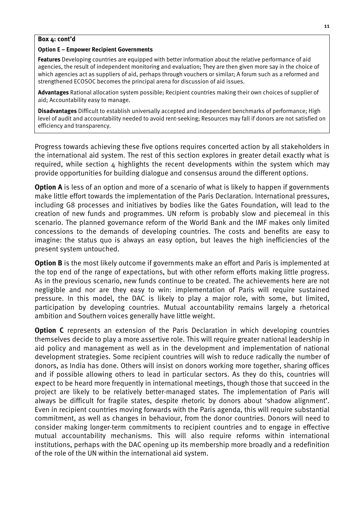#### **Box 4: cont'd**

#### **Option E – Empower Recipient Governments**

**Features** Developing countries are equipped with better information about the relative performance of aid agencies, the result of independent monitoring and evaluation; They are then given more say in the choice of which agencies act as suppliers of aid, perhaps through vouchers or similar; A forum such as a reformed and strengthened ECOSOC becomes the principal arena for discussion of aid issues.

**Advantages** Rational allocation system possible; Recipient countries making their own choices of supplier of aid; Accountability easy to manage.

**Disadvantages** Difficult to establish universally accepted and independent benchmarks of performance; High level of audit and accountability needed to avoid rent-seeking; Resources may fall if donors are not satisfied on efficiency and transparency.

Progress towards achieving these five options requires concerted action by all stakeholders in the international aid system. The rest of this section explores in greater detail exactly what is required, while section  $\Delta$  highlights the recent developments within the system which may provide opportunities for building dialogue and consensus around the different options.

**Option A** is less of an option and more of a scenario of what is likely to happen if governments make little effort towards the implementation of the Paris Declaration. International pressures, including G8 processes and initiatives by bodies like the Gates Foundation, will lead to the creation of new funds and programmes. UN reform is probably slow and piecemeal in this scenario. The planned governance reform of the World Bank and the IMF makes only limited concessions to the demands of developing countries. The costs and benefits are easy to imagine: the status quo is always an easy option, but leaves the high inefficiencies of the present system untouched.

**Option B** is the most likely outcome if governments make an effort and Paris is implemented at the top end of the range of expectations, but with other reform efforts making little progress. As in the previous scenario, new funds continue to be created. The achievements here are not negligible and nor are they easy to win: implementation of Paris will require sustained pressure. In this model, the DAC is likely to play a major role, with some, but limited, participation by developing countries. Mutual accountability remains largely a rhetorical ambition and Southern voices generally have little weight.

**Option C** represents an extension of the Paris Declaration in which developing countries themselves decide to play a more assertive role. This will require greater national leadership in aid policy and management as well as in the development and implementation of national development strategies. Some recipient countries will wish to reduce radically the number of donors, as India has done. Others will insist on donors working more together, sharing offices and if possible allowing others to lead in particular sectors. As they do this, countries will expect to be heard more frequently in international meetings, though those that succeed in the project are likely to be relatively better-managed states. The implementation of Paris will always be difficult for fragile states, despite rhetoric by donors about 'shadow alignment'. Even in recipient countries moving forwards with the Paris agenda, this will require substantial commitment, as well as changes in behaviour, from the donor countries. Donors will need to consider making longer-term commitments to recipient countries and to engage in effective mutual accountability mechanisms. This will also require reforms within international institutions, perhaps with the DAC opening up its membership more broadly and a redefinition of the role of the UN within the international aid system.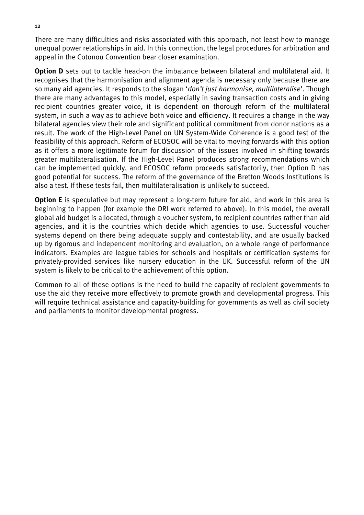There are many difficulties and risks associated with this approach, not least how to manage unequal power relationships in aid. In this connection, the legal procedures for arbitration and appeal in the Cotonou Convention bear closer examination.

**Option D** sets out to tackle head-on the imbalance between bilateral and multilateral aid. It recognises that the harmonisation and alignment agenda is necessary only because there are so many aid agencies. It responds to the slogan '*don't just harmonise, multilateralise*'. Though there are many advantages to this model, especially in saving transaction costs and in giving recipient countries greater voice, it is dependent on thorough reform of the multilateral system, in such a way as to achieve both voice and efficiency. It requires a change in the way bilateral agencies view their role and significant political commitment from donor nations as a result. The work of the High-Level Panel on UN System-Wide Coherence is a good test of the feasibility of this approach. Reform of ECOSOC will be vital to moving forwards with this option as it offers a more legitimate forum for discussion of the issues involved in shifting towards greater multilateralisation. If the High-Level Panel produces strong recommendations which can be implemented quickly, and ECOSOC reform proceeds satisfactorily, then Option D has good potential for success. The reform of the governance of the Bretton Woods Institutions is also a test. If these tests fail, then multilateralisation is unlikely to succeed.

**Option E** is speculative but may represent a long-term future for aid, and work in this area is beginning to happen (for example the DRI work referred to above). In this model, the overall global aid budget is allocated, through a voucher system, to recipient countries rather than aid agencies, and it is the countries which decide which agencies to use. Successful voucher systems depend on there being adequate supply and contestability, and are usually backed up by rigorous and independent monitoring and evaluation, on a whole range of performance indicators. Examples are league tables for schools and hospitals or certification systems for privately-provided services like nursery education in the UK. Successful reform of the UN system is likely to be critical to the achievement of this option.

Common to all of these options is the need to build the capacity of recipient governments to use the aid they receive more effectively to promote growth and developmental progress. This will require technical assistance and capacity-building for governments as well as civil society and parliaments to monitor developmental progress.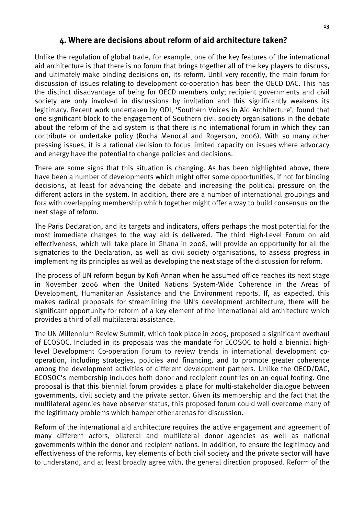## **4. Where are decisions about reform of aid architecture taken?**

Unlike the regulation of global trade, for example, one of the key features of the international aid architecture is that there is no forum that brings together all of the key players to discuss, and ultimately make binding decisions on, its reform. Until very recently, the main forum for discussion of issues relating to development co-operation has been the OECD DAC. This has the distinct disadvantage of being for OECD members only; recipient governments and civil society are only involved in discussions by invitation and this significantly weakens its legitimacy. Recent work undertaken by ODI, 'Southern Voices in Aid Architecture', found that one significant block to the engagement of Southern civil society organisations in the debate about the reform of the aid system is that there is no international forum in which they can contribute or undertake policy (Rocha Menocal and Rogerson, 2006). With so many other pressing issues, it is a rational decision to focus limited capacity on issues where advocacy and energy have the potential to change policies and decisions.

There are some signs that this situation is changing. As has been highlighted above, there have been a number of developments which might offer some opportunities, if not for binding decisions, at least for advancing the debate and increasing the political pressure on the different actors in the system. In addition, there are a number of international groupings and fora with overlapping membership which together might offer a way to build consensus on the next stage of reform.

The Paris Declaration, and its targets and indicators, offers perhaps the most potential for the most immediate changes to the way aid is delivered. The third High-Level Forum on aid effectiveness, which will take place in Ghana in 2008, will provide an opportunity for all the signatories to the Declaration, as well as civil society organisations, to assess progress in implementing its principles as well as developing the next stage of the discussion for reform.

The process of UN reform begun by Kofi Annan when he assumed office reaches its next stage in November 2006 when the United Nations System-Wide Coherence in the Areas of Development, Humanitarian Assistance and the Environment reports. If, as expected, this makes radical proposals for streamlining the UN's development architecture, there will be significant opportunity for reform of a key element of the international aid architecture which provides a third of all multilateral assistance.

The UN Millennium Review Summit, which took place in 2005, proposed a significant overhaul of ECOSOC. Included in its proposals was the mandate for ECOSOC to hold a biennial highlevel Development Co-operation Forum to review trends in international development cooperation, including strategies, policies and financing, and to promote greater coherence among the development activities of different development partners. Unlike the OECD/DAC, ECOSOC's membership includes both donor and recipient countries on an equal footing. One proposal is that this biennial forum provides a place for multi-stakeholder dialogue between governments, civil society and the private sector. Given its membership and the fact that the multilateral agencies have observer status, this proposed forum could well overcome many of the legitimacy problems which hamper other arenas for discussion.

Reform of the international aid architecture requires the active engagement and agreement of many different actors, bilateral and multilateral donor agencies as well as national governments within the donor and recipient nations. In addition, to ensure the legitimacy and effectiveness of the reforms, key elements of both civil society and the private sector will have to understand, and at least broadly agree with, the general direction proposed. Reform of the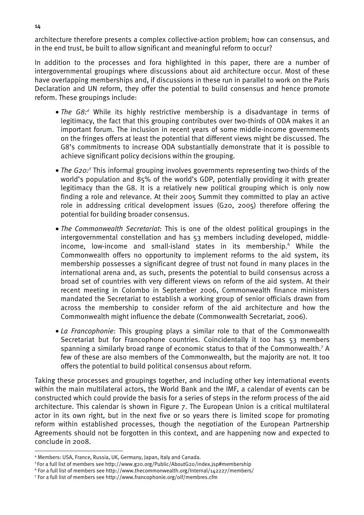architecture therefore presents a complex collective-action problem; how can consensus, and in the end trust, be built to allow significant and meaningful reform to occur?

In addition to the processes and fora highlighted in this paper, there are a number of intergovernmental groupings where discussions about aid architecture occur. Most of these have overlapping memberships and, if discussions in these run in parallel to work on the Paris Declaration and UN reform, they offer the potential to build consensus and hence promote reform. These groupings include:

- *The G8:4* While its highly restrictive membership is a disadvantage in terms of legitimacy, the fact that this grouping contributes over two-thirds of ODA makes it an important forum. The inclusion in recent years of some middle-income governments on the fringes offers at least the potential that different views might be discussed. The G8's commitments to increase ODA substantially demonstrate that it is possible to achieve significant policy decisions within the grouping.
- *The G20:5* This informal grouping involves governments representing two-thirds of the world's population and 85% of the world's GDP, potentially providing it with greater legitimacy than the G8. It is a relatively new political grouping which is only now finding a role and relevance. At their 2005 Summit they committed to play an active role in addressing critical development issues (G20, 2005) therefore offering the potential for building broader consensus.
- *The Commonwealth Secretariat*: This is one of the oldest political groupings in the intergovernmental constellation and has 53 members including developed, middleincome, low-income and small-island states in its membership.<sup>6</sup> While the Commonwealth offers no opportunity to implement reforms to the aid system, its membership possesses a significant degree of trust not found in many places in the international arena and, as such, presents the potential to build consensus across a broad set of countries with very different views on reform of the aid system. At their recent meeting in Colombo in September 2006, Commonwealth finance ministers mandated the Secretariat to establish a working group of senior officials drawn from across the membership to consider reform of the aid architecture and how the Commonwealth might influence the debate (Commonwealth Secretariat, 2006).
- *La Francophonie*: This grouping plays a similar role to that of the Commonwealth Secretariat but for Francophone countries. Coincidentally it too has 53 members spanning a similarly broad range of economic status to that of the Commonwealth.<sup>7</sup> A few of these are also members of the Commonwealth, but the majority are not. It too offers the potential to build political consensus about reform.

Taking these processes and groupings together, and including other key international events within the main multilateral actors, the World Bank and the IMF, a calendar of events can be constructed which could provide the basis for a series of steps in the reform process of the aid architecture. This calendar is shown in Figure 7. The European Union is a critical multilateral actor in its own right, but in the next five or so years there is limited scope for promoting reform within established processes, though the negotiation of the European Partnership Agreements should not be forgotten in this context, and are happening now and expected to conclude in 2008.

 $\overline{a}$ 

<sup>5</sup> For a full list of members see http://www.g20.org/Public/AboutG20/index.jsp#membership

For a full list of members see http://www.francophonie.org/oif/membres.cfm

<sup>&</sup>lt;sup>4</sup> Members: USA, France, Russia, UK, Germany, Japan, Italy and Canada.

 $^6$  For a full list of members see http://www.thecommonwealth.org/Internal/142227/members/<br>7 For a full list of members see http://www.francophonie.org/oif/membres.cfm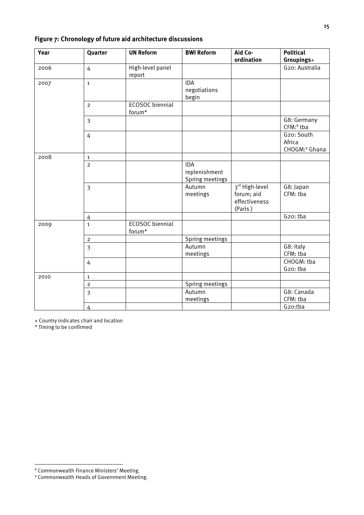| Year | Quarter        | <b>UN Reform</b>       | <b>BWI Reform</b> | Aid Co-        | <b>Political</b>          |
|------|----------------|------------------------|-------------------|----------------|---------------------------|
|      |                |                        |                   | ordination     | Groupings+                |
| 2006 | 4              | High-level panel       |                   |                | G20: Australia            |
|      |                | report                 |                   |                |                           |
| 2007 | $\mathbf{1}$   |                        | <b>IDA</b>        |                |                           |
|      |                |                        | negotiations      |                |                           |
|      |                |                        | begin             |                |                           |
|      | $\overline{2}$ | <b>ECOSOC</b> biennial |                   |                |                           |
|      |                | forum*                 |                   |                |                           |
|      | $\overline{3}$ |                        |                   |                | G8: Germany               |
|      |                |                        |                   |                | CFM: <sup>8</sup> tba     |
|      | $\overline{4}$ |                        |                   |                | G20: South                |
|      |                |                        |                   |                | Africa                    |
|      |                |                        |                   |                | CHOGM: <sup>9</sup> Ghana |
| 2008 | $\mathbf{1}$   |                        |                   |                |                           |
|      | $\overline{2}$ |                        | <b>IDA</b>        |                |                           |
|      |                |                        | replenishment     |                |                           |
|      |                |                        | Spring meetings   |                |                           |
|      | $\overline{3}$ |                        | Autumn            | 3rd High-level | G8: Japan                 |
|      |                |                        | meetings          | forum; aid     | CFM: tba                  |
|      |                |                        |                   | effectiveness  |                           |
|      |                |                        |                   | (Paris)        |                           |
|      | 4              |                        |                   |                | G20: tba                  |
| 2009 | $\mathbf{1}$   | <b>ECOSOC</b> biennial |                   |                |                           |
|      |                | forum*                 |                   |                |                           |
|      | $\overline{2}$ |                        | Spring meetings   |                |                           |
|      | $\overline{3}$ |                        | Autumn            |                | G8: Italy                 |
|      |                |                        | meetings          |                | CFM: tba                  |
|      | $\overline{4}$ |                        |                   |                | CHOGM: tba                |
|      |                |                        |                   |                | G20: tba                  |
| 2010 | $\mathbf{1}$   |                        |                   |                |                           |
|      | $\overline{2}$ |                        | Spring meetings   |                |                           |
|      | $\overline{3}$ |                        | Autumn            |                | G8: Canada                |
|      |                |                        | meetings          |                | CFM: tba                  |
|      | 4              |                        |                   |                | G20:tba                   |

## **Figure 7: Chronology of future aid architecture discussions**

+ Country indicates chair and location

\* Timing to be confirmed

 $\overline{a}$ 

<sup>&</sup>lt;sup>8</sup> Commonwealth Finance Ministers' Meeting.

<sup>9</sup> Commonwealth Heads of Government Meeting.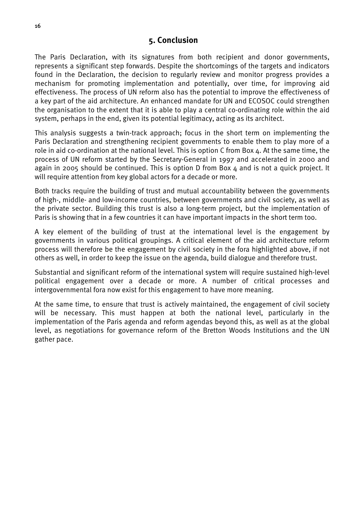## **5. Conclusion**

The Paris Declaration, with its signatures from both recipient and donor governments, represents a significant step forwards. Despite the shortcomings of the targets and indicators found in the Declaration, the decision to regularly review and monitor progress provides a mechanism for promoting implementation and potentially, over time, for improving aid effectiveness. The process of UN reform also has the potential to improve the effectiveness of a key part of the aid architecture. An enhanced mandate for UN and ECOSOC could strengthen the organisation to the extent that it is able to play a central co-ordinating role within the aid system, perhaps in the end, given its potential legitimacy, acting as its architect.

This analysis suggests a twin-track approach; focus in the short term on implementing the Paris Declaration and strengthening recipient governments to enable them to play more of a role in aid co-ordination at the national level. This is option C from Box 4. At the same time, the process of UN reform started by the Secretary-General in 1997 and accelerated in 2000 and again in 2005 should be continued. This is option D from Box 4 and is not a quick project. It will require attention from key global actors for a decade or more.

Both tracks require the building of trust and mutual accountability between the governments of high-, middle- and low-income countries, between governments and civil society, as well as the private sector. Building this trust is also a long-term project, but the implementation of Paris is showing that in a few countries it can have important impacts in the short term too.

A key element of the building of trust at the international level is the engagement by governments in various political groupings. A critical element of the aid architecture reform process will therefore be the engagement by civil society in the fora highlighted above, if not others as well, in order to keep the issue on the agenda, build dialogue and therefore trust.

Substantial and significant reform of the international system will require sustained high-level political engagement over a decade or more. A number of critical processes and intergovernmental fora now exist for this engagement to have more meaning.

At the same time, to ensure that trust is actively maintained, the engagement of civil society will be necessary. This must happen at both the national level, particularly in the implementation of the Paris agenda and reform agendas beyond this, as well as at the global level, as negotiations for governance reform of the Bretton Woods Institutions and the UN gather pace.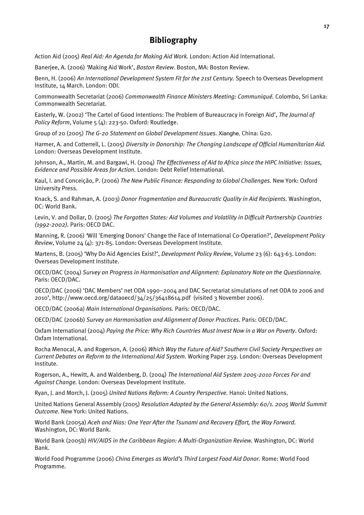## **Bibliography**

Action Aid (2005) *Real Aid: An Agenda for Making Aid Work.* London: Action Aid International.

Banerjee, A. (2006) *'*Making Aid Work', *Boston Review*. Boston, MA: Boston Review.

Benn, H. (2006) *An International Development System Fit for the 21st Century.* Speech to Overseas Development Institute, 14 March. London: ODI.

Commonwealth Secretariat (2006) *Commonwealth Finance Ministers Meeting: Communiqué.* Colombo, Sri Lanka: Commonwealth Secretariat.

Easterly, W. (2002) 'The Cartel of Good Intentions: The Problem of Bureaucracy in Foreign Aid', *The Journal of Policy Reform*, Volume 5 (4): 223-50. Oxford: Routledge.

Group of 20 (2005) *The G-20 Statement on Global Development Issues.* Xianghe, China: G20.

Harmer, A. and Cotterrell, L. (2005) *Diversity in Donorship: The Changing Landscape of Official Humanitarian Aid.* London: Overseas Development Institute.

Johnson, A., Martin, M. and Bargawi, H. (2004) *The Effectiveness of Aid to Africa since the HIPC Initiative: Issues, Evidence and Possible Areas for Action.* London: Debt Relief International.

Kaul, I. and Conceição, P. (2006) *The New Public Finance: Responding to Global Challenges.* New York: Oxford University Press.

Knack, S. and Rahman, A. (2003) *Donor Fragmentation and Bureaucratic Quality in Aid Recipients.* Washington, DC: World Bank.

Levin, V. and Dollar, D. (2005) *The Forgotten States: Aid Volumes and Volatility in Difficult Partnership Countries (1992-2002).* Paris: OECD DAC.

Manning, R. (2006) *'*Will 'Emerging Donors' Change the Face of International Co-Operation?', *Development Policy Review*, Volume 24 (4): 371-85. London: Overseas Development Institute.

Martens, B. (2005) 'Why Do Aid Agencies Exist?', *Development Policy Review*, Volume 23 (6): 643-63. London: Overseas Development Institute.

OECD/DAC (2004) *Survey on Progress in Harmonisation and Alignment: Explanatory Note on the Questionnaire.* Paris: OECD/DAC.

OECD/DAC (2006) 'DAC Members' net ODA 1990–2004 and DAC Secretariat simulations of net ODA to 2006 and 2010', http://www.oecd.org/dataoecd/34/25/36418614.pdf (visited 3 November 2006).

OECD/DAC (2006a) *Main International Organisations.* Paris: OECD/DAC.

OECD/DAC (2006b) *Survey on Harmonisation and Alignment of Donor Practices.* Paris: OECD/DAC.

Oxfam International (2004) *Paying the Price: Why Rich Countries Must Invest Now in a War on Poverty*. Oxford: Oxfam International.

Rocha Menocal, A. and Rogerson, A. (2006) *Which Way the Future of Aid? Southern Civil Society Perspectives on Current Debates on Reform to the International Aid System.* Working Paper 259. London: Overseas Development Institute.

Rogerson, A., Hewitt, A. and Waldenberg, D. (2004) *The International Aid System 2005-2010 Forces For and Against Change.* London: Overseas Development Institute.

Ryan, J. and Morch, J. (2005) *United Nations Reform: A Country Perspective.* Hanoi: United Nations.

United Nations General Assembly (2005) *Resolution Adopted by the General Assembly: 60/1. 2005 World Summit Outcome.* New York: United Nations.

World Bank (2005a) *Aceh and Nias: One Year After the Tsunami and Recovery Effort, the Way Forward.* Washington, DC: World Bank.

World Bank (2005b) *HIV/AIDS in the Caribbean Region: A Multi-Organization Review.* Washington, DC: World Bank.

World Food Programme (2006) *China Emerges as World's Third Largest Food Aid Donor.* Rome: World Food Programme.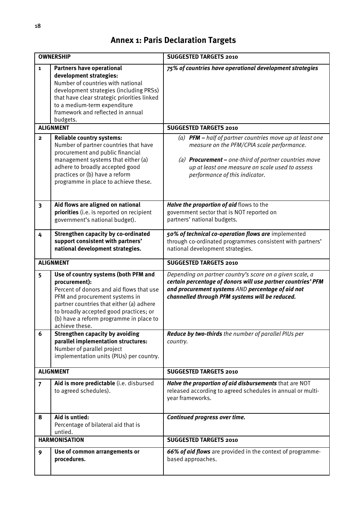# **Annex 1: Paris Declaration Targets**

|                         | <b>OWNERSHIP</b>                                                                                                                                                                                                                                                                       | <b>SUGGESTED TARGETS 2010</b>                                                                                                                                                                                                                                        |
|-------------------------|----------------------------------------------------------------------------------------------------------------------------------------------------------------------------------------------------------------------------------------------------------------------------------------|----------------------------------------------------------------------------------------------------------------------------------------------------------------------------------------------------------------------------------------------------------------------|
| $\mathbf{1}$            | <b>Partners have operational</b><br>development strategies:<br>Number of countries with national<br>development strategies (including PRSs)<br>that have clear strategic priorities linked<br>to a medium-term expenditure<br>framework and reflected in annual<br>budgets.            | 75% of countries have operational development strategies                                                                                                                                                                                                             |
|                         | <b>ALIGNMENT</b>                                                                                                                                                                                                                                                                       | <b>SUGGESTED TARGETS 2010</b>                                                                                                                                                                                                                                        |
| $\overline{2}$          | <b>Reliable country systems:</b><br>Number of partner countries that have<br>procurement and public financial<br>management systems that either (a)<br>adhere to broadly accepted good<br>practices or (b) have a reform<br>programme in place to achieve these.                       | (a) <b>PFM</b> $-$ half of partner countries move up at least one<br>measure on the PFM/CPIA scale performance.<br>(a) <b>Procurement</b> – one-third of partner countries move<br>up at least one measure on scale used to assess<br>performance of this indicator. |
| $\overline{\mathbf{3}}$ | Aid flows are aligned on national<br>priorities (i.e. is reported on recipient<br>government's national budget).                                                                                                                                                                       | Halve the proportion of aid flows to the<br>government sector that is NOT reported on<br>partners' national budgets.                                                                                                                                                 |
| 4                       | <b>Strengthen capacity by co-ordinated</b><br>support consistent with partners'<br>national development strategies.                                                                                                                                                                    | 50% of technical co-operation flows are implemented<br>through co-ordinated programmes consistent with partners'<br>national development strategies.                                                                                                                 |
|                         | <b>ALIGNMENT</b>                                                                                                                                                                                                                                                                       | <b>SUGGESTED TARGETS 2010</b>                                                                                                                                                                                                                                        |
| 5                       | Use of country systems (both PFM and<br>procurement):<br>Percent of donors and aid flows that use<br>PFM and procurement systems in<br>partner countries that either (a) adhere<br>to broadly accepted good practices; or<br>(b) have a reform programme in place to<br>achieve these. | Depending on partner country's score on a given scale, a<br>certain percentage of donors will use partner countries' PFM<br>and procurement systems AND percentage of aid not<br>channelled through PFM systems will be reduced.                                     |
| 6                       | <b>Strengthen capacity by avoiding</b><br>parallel implementation structures:<br>Number of parallel project<br>implementation units (PIUs) per country.                                                                                                                                | Reduce by two-thirds the number of parallel PIUs per<br>country.                                                                                                                                                                                                     |
|                         | <b>ALIGNMENT</b>                                                                                                                                                                                                                                                                       | <b>SUGGESTED TARGETS 2010</b>                                                                                                                                                                                                                                        |
| $\overline{7}$          | Aid is more predictable (i.e. disbursed<br>to agreed schedules).                                                                                                                                                                                                                       | Halve the proportion of aid disbursements that are NOT<br>released according to agreed schedules in annual or multi-<br>year frameworks.                                                                                                                             |
| 8                       | Aid is untied:<br>Percentage of bilateral aid that is<br>untied.                                                                                                                                                                                                                       | Continued progress over time.                                                                                                                                                                                                                                        |
|                         | <b>HARMONISATION</b>                                                                                                                                                                                                                                                                   | <b>SUGGESTED TARGETS 2010</b>                                                                                                                                                                                                                                        |
| 9                       | Use of common arrangements or<br>procedures.                                                                                                                                                                                                                                           | 66% of aid flows are provided in the context of programme-<br>based approaches.                                                                                                                                                                                      |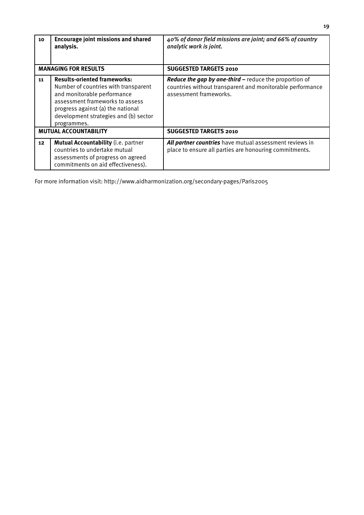| 10              | <b>Encourage joint missions and shared</b><br>analysis.                                                                                                                                                                                    | 40% of donor field missions are joint; and 66% of country<br>analytic work is joint.                                                                 |
|-----------------|--------------------------------------------------------------------------------------------------------------------------------------------------------------------------------------------------------------------------------------------|------------------------------------------------------------------------------------------------------------------------------------------------------|
|                 | <b>MANAGING FOR RESULTS</b>                                                                                                                                                                                                                | <b>SUGGESTED TARGETS 2010</b>                                                                                                                        |
| 11              | <b>Results-oriented frameworks:</b><br>Number of countries with transparent<br>and monitorable performance<br>assessment frameworks to assess<br>progress against (a) the national<br>development strategies and (b) sector<br>programmes. | <b>Reduce the gap by one-third – reduce the proportion of</b><br>countries without transparent and monitorable performance<br>assessment frameworks. |
|                 | <b>MUTUAL ACCOUNTABILITY</b>                                                                                                                                                                                                               | <b>SUGGESTED TARGETS 2010</b>                                                                                                                        |
| 12 <sub>2</sub> | <b>Mutual Accountability (i.e. partner</b><br>countries to undertake mutual<br>assessments of progress on agreed<br>commitments on aid effectiveness).                                                                                     | All partner countries have mutual assessment reviews in<br>place to ensure all parties are honouring commitments.                                    |

For more information visit: http://www.aidharmonization.org/secondary-pages/Paris2005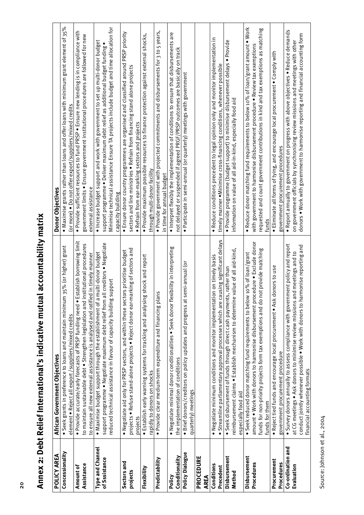| xiale.html villige.html icalicality holding of the signal schools.html was |
|----------------------------------------------------------------------------|
|                                                                            |
|                                                                            |
|                                                                            |
|                                                                            |
|                                                                            |
|                                                                            |
|                                                                            |
|                                                                            |
| $\ddot{\phantom{a}}$                                                       |
|                                                                            |
|                                                                            |
|                                                                            |
|                                                                            |
| nnav o. Daht Ralin <sup>r</sup><br>lllicy 2: Debri Iver                    |

| POLICY AREA              | African Government Objectives                                                                                                                                              | Donor Objectives                                                                                                                                                                               |
|--------------------------|----------------------------------------------------------------------------------------------------------------------------------------------------------------------------|------------------------------------------------------------------------------------------------------------------------------------------------------------------------------------------------|
| Concessionality          | • Seek grants in preference to loans and maintain minimum 35% (or higher) grant<br>element . Reject all export /suppliers/mixed credits                                    | . Maximise grants rather than loans and offer loans with minimum grant element of 35%<br>(or more) ● Do not offer export/suppliers/mixed credits                                               |
| Amount of                | · Provide accurate/early forecasts of PRSP funding need . Establish borrowing limit                                                                                        | . Provide sufficient resources to fund PRSP . Ensure new lending is in compliance with                                                                                                         |
| Assistance               | to maintain sustainable debt . Strengthen legislation and institutional procedures<br>in timely manner<br>to ensure all new external assistance is analysed and ratified   | government limits . Ensure government institutional procedures are followed for new<br>external assistance                                                                                     |
| Type and Channel         | . Maximise budget support through the establishment of a multi-donor budget                                                                                                | . Increase budget support and work with government to set up multi-donor budget                                                                                                                |
| of Sssistance            | creditors . Negotiate<br>upport<br>reduced technical assistance in favour of capacity building su<br>support programme . Negotiate maximum debt relief from all            | Minimise technical assistance Ensure TA projects include budget and time allocation for<br>support programme . Deliver maximum debt relief as additional budget funding .<br>capacity building |
| Sectors and              | . Negotiate aid only for PRSP sectors, and within these sectors prioritise budget                                                                                          | • Ensure donor country programmes are organised and classified around PRSP priority                                                                                                            |
| projects                 | projects . Refuse stand-alone projects . Reject donor ear-marking of sectors and<br>projects                                                                               | sectors and line ministries . Refrain from financing stand alone projects<br>· Refrain from ear-marking sectors and projects                                                                   |
| Flexibility              | shock and report<br>· Establish early warning systems for tracking and analysing<br>rapidly to donors on shocks                                                            | · Provide maximum possible resources to finance protection against external shocks,<br>through multi-donor facility                                                                            |
| Predictability           | · Provide clear medium-term expenditure and financing plans                                                                                                                | $\bullet$ Provide government with projected commitments and disbursements for 3 to 5 years,<br>in time for annual budget                                                                       |
| Policy                   | bility in interpreting<br>• Negotiate minimal donor conditionalities • Seek donor flexi                                                                                    | $\bullet$ Interpret flexibly the implementation of conditions to ensure that disbursements are                                                                                                 |
| Conditionality           | the implementation of conditions                                                                                                                                           | not delayed or suspended if agreed PRGF/PRSP outcomes are basically on track                                                                                                                   |
| Policy Dialogue          | mi-annual (or<br>· Brief donors/creditors on policy updates and progress at se<br>quarterly) meetings                                                                      | · Participate in semi-annual (or quarterly) meetings with government                                                                                                                           |
| PROCEDURE<br><b>AREA</b> |                                                                                                                                                                            |                                                                                                                                                                                                |
| Conditions<br>Precedent  | Streamline parliamentary approval processes which are causing significant delays<br>. Negotiate minimum conditions and monitor implementation on timely basis<br>$\bullet$ | · Reduce conditions precedent to legal opinion only and monitor implementation in<br>timely manner . Minimise cross-financing conditions, whenever possible                                    |
| Disbursement             | · Seek disbursement of funds through direct cash payments, rather than                                                                                                     | · Provide programme (budget support) to minimise disbursement delays · Provide                                                                                                                 |
| Method                   | reimbursement claims • Establish mechanism to determine value of all aid-kind,<br>especially food aid                                                                      | information on value of all aid-in-kind, especially food aid                                                                                                                                   |
| Disbursement             | • Seek reduced donor matching fund requirements to below 10% of loan/grant                                                                                                 | $\bullet$ Reduce donor matching fund requirements to below 10% of loan/grant amount $\bullet$ Work                                                                                             |
| Procedures               | amount . Work with donors to harmonise disbursement procedure . Exclude donor                                                                                              | with government to harmonise disbursement procedure . Review tax exemptions                                                                                                                    |
|                          | funds for non-priority projects form tax exemptions and do not provide matching<br>funds for them                                                                          | requested and count government contributions in kind and tax exemptions as matching<br>funds                                                                                                   |
| Procurement              | . Reject tied funds and encourage local procurement. Ask donors to use                                                                                                     | $\bullet$ Eliminate all forms of tying, and encourage local procurement $\bullet$ Comply with                                                                                                  |
| Procedures               | government procurement procedure                                                                                                                                           | government procurement procedures                                                                                                                                                              |
| Co-ordination and        | $\bullet$ Survey donors annually to assess compliance with government policy and report                                                                                    | · Report annually to government on progress with above objectives · Reduce demands                                                                                                             |
| Evaluation               | at CG meetings . Ask donors to minimise review missions and meetings and to                                                                                                | on government officials by synchronising review missions and meetings with other                                                                                                               |
|                          | monise reporting and<br>conduct jointly whenever possible . Work with donors to han<br>financial accounting formats                                                        | donors • Work with government to harmonise reporting and financial accounting form                                                                                                             |

Source: Johnson et al., 2004 Source: Johnson et al., 2004